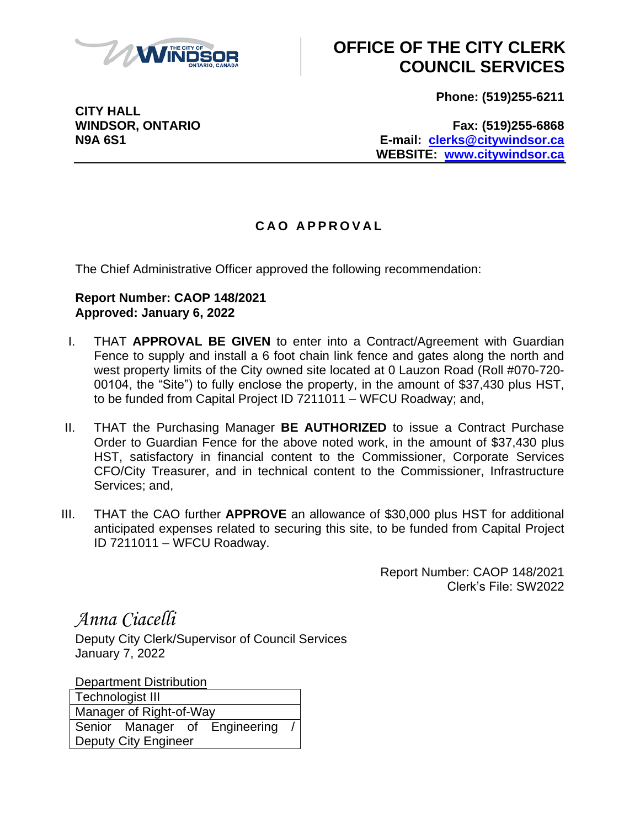

## **OFFICE OF THE CITY CLERK COUNCIL SERVICES**

**Phone: (519)255-6211**

**CITY HALL**

**WINDSOR, ONTARIO Fax: (519)255-6868 N9A 6S1 E-mail: [clerks@citywindsor.ca](mailto:clerks@citywindsor.ca) WEBSITE: [www.citywindsor.ca](http://www.citywindsor.ca/)**

## **C A O A P P R O V A L**

The Chief Administrative Officer approved the following recommendation:

## **Report Number: CAOP 148/2021 Approved: January 6, 2022**

- I. THAT **APPROVAL BE GIVEN** to enter into a Contract/Agreement with Guardian Fence to supply and install a 6 foot chain link fence and gates along the north and west property limits of the City owned site located at 0 Lauzon Road (Roll #070-720- 00104, the "Site") to fully enclose the property, in the amount of \$37,430 plus HST, to be funded from Capital Project ID 7211011 – WFCU Roadway; and,
- II. THAT the Purchasing Manager **BE AUTHORIZED** to issue a Contract Purchase Order to Guardian Fence for the above noted work, in the amount of \$37,430 plus HST, satisfactory in financial content to the Commissioner, Corporate Services CFO/City Treasurer, and in technical content to the Commissioner, Infrastructure Services; and,
- III. THAT the CAO further **APPROVE** an allowance of \$30,000 plus HST for additional anticipated expenses related to securing this site, to be funded from Capital Project ID 7211011 – WFCU Roadway.

Report Number: CAOP 148/2021 Clerk's File: SW2022

*Anna Ciacelli*

Deputy City Clerk/Supervisor of Council Services January 7, 2022

Department Distribution Technologist III Manager of Right-of-Way Senior Manager of Engineering Deputy City Engineer